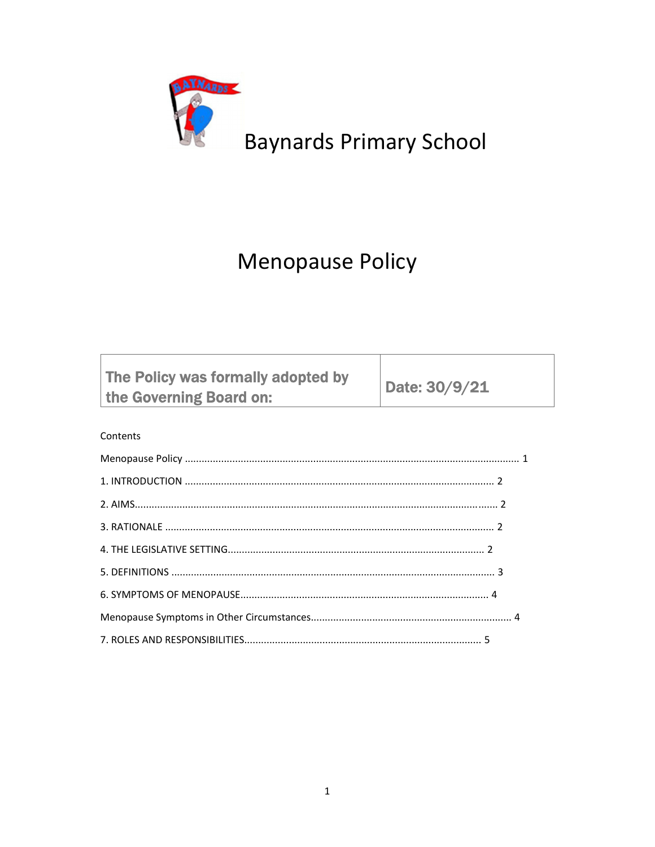

# **Baynards Primary School**

## **Menopause Policy**

| The Policy was formally adopted by<br>the Governing Board on: | Date: 30/9/21 |
|---------------------------------------------------------------|---------------|
|---------------------------------------------------------------|---------------|

### Contents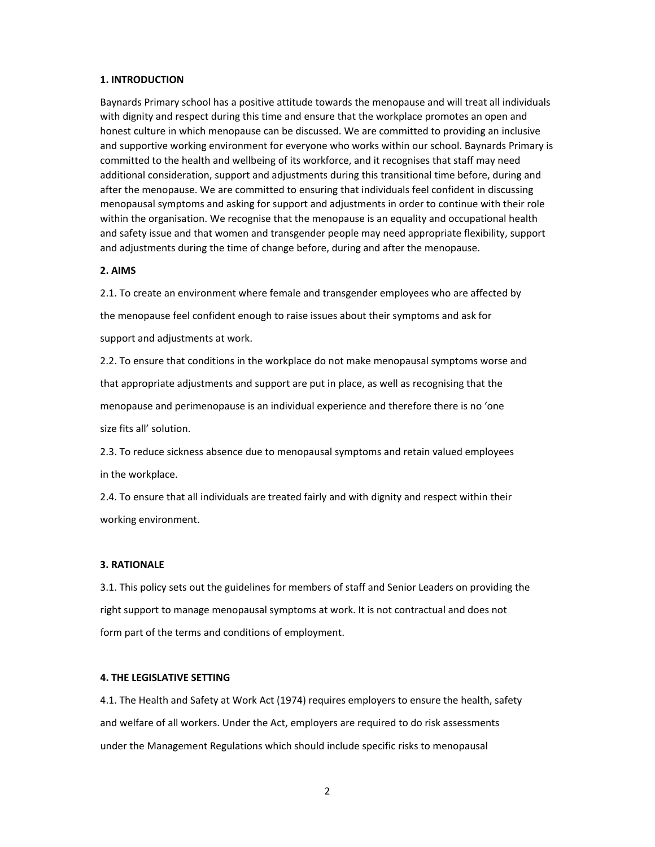#### **1. INTRODUCTION**

Baynards Primary school has a positive attitude towards the menopause and will treat all individuals with dignity and respect during this time and ensure that the workplace promotes an open and honest culture in which menopause can be discussed. We are committed to providing an inclusive and supportive working environment for everyone who works within our school. Baynards Primary is committed to the health and wellbeing of its workforce, and it recognises that staff may need additional consideration, support and adjustments during this transitional time before, during and after the menopause. We are committed to ensuring that individuals feel confident in discussing menopausal symptoms and asking for support and adjustments in order to continue with their role within the organisation. We recognise that the menopause is an equality and occupational health and safety issue and that women and transgender people may need appropriate flexibility, support and adjustments during the time of change before, during and after the menopause.

#### **2. AIMS**

2.1. To create an environment where female and transgender employees who are affected by the menopause feel confident enough to raise issues about their symptoms and ask for support and adjustments at work.

2.2. To ensure that conditions in the workplace do not make menopausal symptoms worse and that appropriate adjustments and support are put in place, as well as recognising that the menopause and perimenopause is an individual experience and therefore there is no 'one size fits all' solution.

2.3. To reduce sickness absence due to menopausal symptoms and retain valued employees in the workplace.

2.4. To ensure that all individuals are treated fairly and with dignity and respect within their working environment.

#### **3. RATIONALE**

3.1. This policy sets out the guidelines for members of staff and Senior Leaders on providing the right support to manage menopausal symptoms at work. It is not contractual and does not form part of the terms and conditions of employment.

#### **4. THE LEGISLATIVE SETTING**

4.1. The Health and Safety at Work Act (1974) requires employers to ensure the health, safety and welfare of all workers. Under the Act, employers are required to do risk assessments under the Management Regulations which should include specific risks to menopausal

2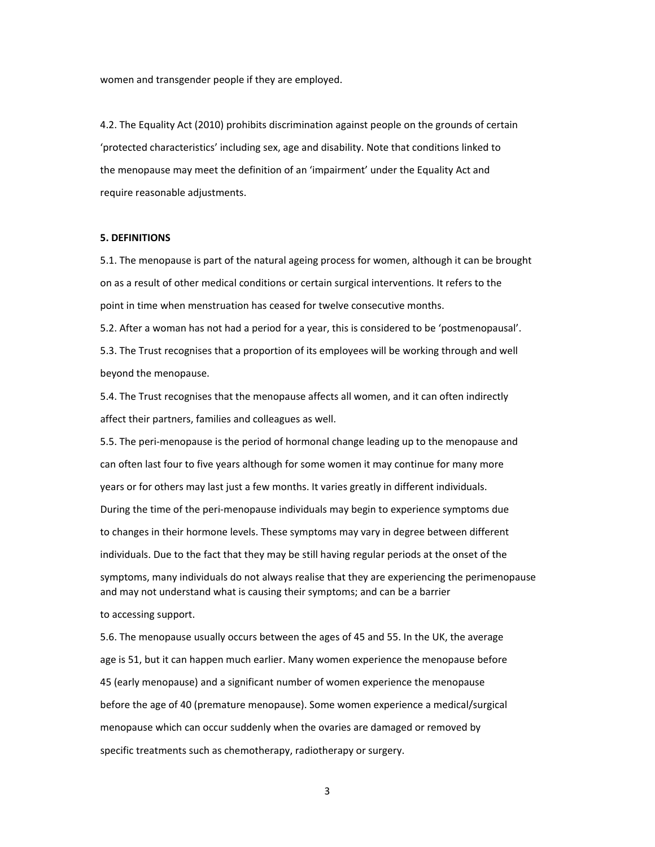women and transgender people if they are employed.

4.2. The Equality Act (2010) prohibits discrimination against people on the grounds of certain 'protected characteristics' including sex, age and disability. Note that conditions linked to the menopause may meet the definition of an 'impairment' under the Equality Act and require reasonable adjustments.

#### **5. DEFINITIONS**

5.1. The menopause is part of the natural ageing process for women, although it can be brought on as a result of other medical conditions or certain surgical interventions. It refers to the point in time when menstruation has ceased for twelve consecutive months.

5.2. After a woman has not had a period for a year, this is considered to be 'postmenopausal'.

5.3. The Trust recognises that a proportion of its employees will be working through and well beyond the menopause.

5.4. The Trust recognises that the menopause affects all women, and it can often indirectly affect their partners, families and colleagues as well.

5.5. The peri-menopause is the period of hormonal change leading up to the menopause and can often last four to five years although for some women it may continue for many more years or for others may last just a few months. It varies greatly in different individuals.

During the time of the peri‐menopause individuals may begin to experience symptoms due to changes in their hormone levels. These symptoms may vary in degree between different individuals. Due to the fact that they may be still having regular periods at the onset of the symptoms, many individuals do not always realise that they are experiencing the perimenopause

and may not understand what is causing their symptoms; and can be a barrier

to accessing support.

5.6. The menopause usually occurs between the ages of 45 and 55. In the UK, the average age is 51, but it can happen much earlier. Many women experience the menopause before 45 (early menopause) and a significant number of women experience the menopause before the age of 40 (premature menopause). Some women experience a medical/surgical menopause which can occur suddenly when the ovaries are damaged or removed by specific treatments such as chemotherapy, radiotherapy or surgery.

3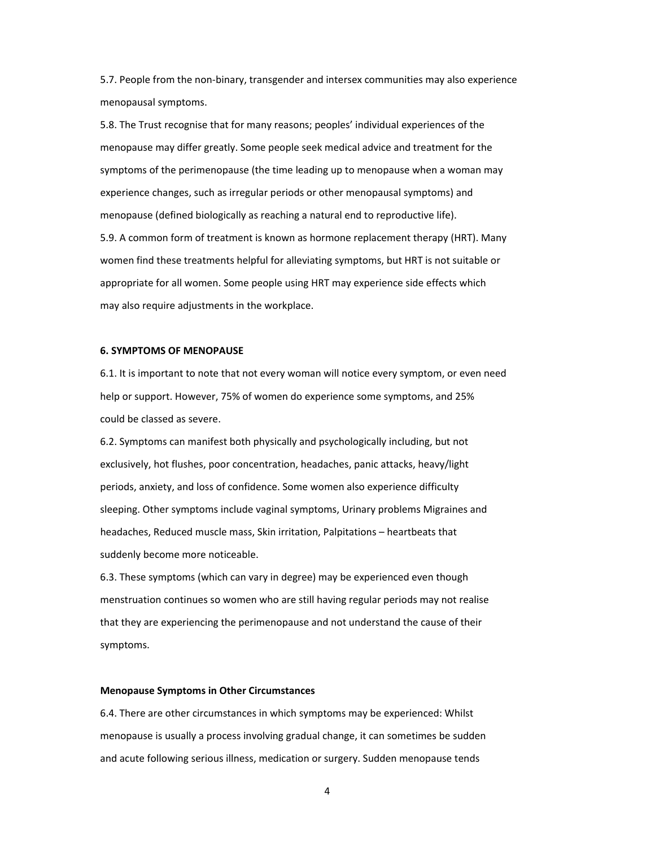5.7. People from the non‐binary, transgender and intersex communities may also experience menopausal symptoms.

5.8. The Trust recognise that for many reasons; peoples' individual experiences of the menopause may differ greatly. Some people seek medical advice and treatment for the symptoms of the perimenopause (the time leading up to menopause when a woman may experience changes, such as irregular periods or other menopausal symptoms) and menopause (defined biologically as reaching a natural end to reproductive life). 5.9. A common form of treatment is known as hormone replacement therapy (HRT). Many women find these treatments helpful for alleviating symptoms, but HRT is not suitable or appropriate for all women. Some people using HRT may experience side effects which

may also require adjustments in the workplace.

#### **6. SYMPTOMS OF MENOPAUSE**

6.1. It is important to note that not every woman will notice every symptom, or even need help or support. However, 75% of women do experience some symptoms, and 25% could be classed as severe.

6.2. Symptoms can manifest both physically and psychologically including, but not exclusively, hot flushes, poor concentration, headaches, panic attacks, heavy/light periods, anxiety, and loss of confidence. Some women also experience difficulty sleeping. Other symptoms include vaginal symptoms, Urinary problems Migraines and headaches, Reduced muscle mass, Skin irritation, Palpitations – heartbeats that suddenly become more noticeable.

6.3. These symptoms (which can vary in degree) may be experienced even though menstruation continues so women who are still having regular periods may not realise that they are experiencing the perimenopause and not understand the cause of their symptoms.

#### **Menopause Symptoms in Other Circumstances**

6.4. There are other circumstances in which symptoms may be experienced: Whilst menopause is usually a process involving gradual change, it can sometimes be sudden and acute following serious illness, medication or surgery. Sudden menopause tends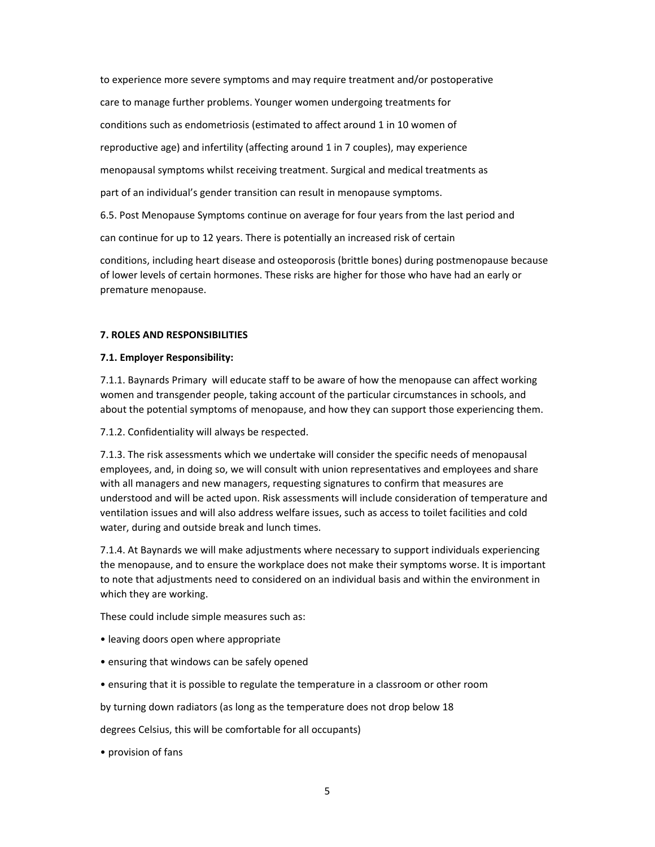to experience more severe symptoms and may require treatment and/or postoperative care to manage further problems. Younger women undergoing treatments for conditions such as endometriosis (estimated to affect around 1 in 10 women of reproductive age) and infertility (affecting around 1 in 7 couples), may experience menopausal symptoms whilst receiving treatment. Surgical and medical treatments as part of an individual's gender transition can result in menopause symptoms. 6.5. Post Menopause Symptoms continue on average for four years from the last period and can continue for up to 12 years. There is potentially an increased risk of certain

conditions, including heart disease and osteoporosis (brittle bones) during postmenopause because of lower levels of certain hormones. These risks are higher for those who have had an early or premature menopause.

#### **7. ROLES AND RESPONSIBILITIES**

#### **7.1. Employer Responsibility:**

7.1.1. Baynards Primary will educate staff to be aware of how the menopause can affect working women and transgender people, taking account of the particular circumstances in schools, and about the potential symptoms of menopause, and how they can support those experiencing them.

7.1.2. Confidentiality will always be respected.

7.1.3. The risk assessments which we undertake will consider the specific needs of menopausal employees, and, in doing so, we will consult with union representatives and employees and share with all managers and new managers, requesting signatures to confirm that measures are understood and will be acted upon. Risk assessments will include consideration of temperature and ventilation issues and will also address welfare issues, such as access to toilet facilities and cold water, during and outside break and lunch times.

7.1.4. At Baynards we will make adjustments where necessary to support individuals experiencing the menopause, and to ensure the workplace does not make their symptoms worse. It is important to note that adjustments need to considered on an individual basis and within the environment in which they are working.

These could include simple measures such as:

- leaving doors open where appropriate
- ensuring that windows can be safely opened
- ensuring that it is possible to regulate the temperature in a classroom or other room

by turning down radiators (as long as the temperature does not drop below 18

degrees Celsius, this will be comfortable for all occupants)

• provision of fans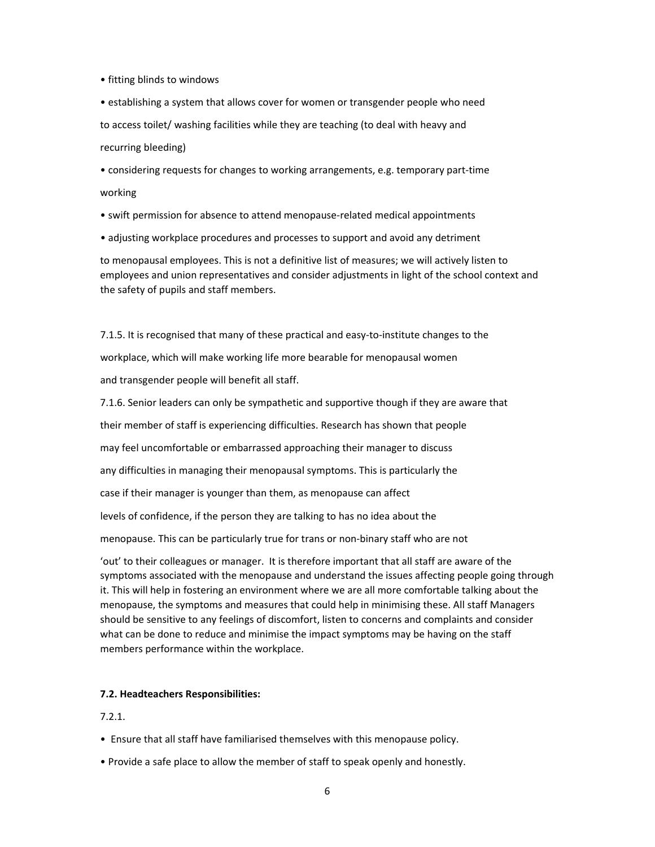• fitting blinds to windows

• establishing a system that allows cover for women or transgender people who need to access toilet/ washing facilities while they are teaching (to deal with heavy and recurring bleeding)

• considering requests for changes to working arrangements, e.g. temporary part‐time working

- swift permission for absence to attend menopause‐related medical appointments
- adjusting workplace procedures and processes to support and avoid any detriment

to menopausal employees. This is not a definitive list of measures; we will actively listen to employees and union representatives and consider adjustments in light of the school context and the safety of pupils and staff members.

7.1.5. It is recognised that many of these practical and easy-to-institute changes to the workplace, which will make working life more bearable for menopausal women and transgender people will benefit all staff.

7.1.6. Senior leaders can only be sympathetic and supportive though if they are aware that

their member of staff is experiencing difficulties. Research has shown that people

may feel uncomfortable or embarrassed approaching their manager to discuss

any difficulties in managing their menopausal symptoms. This is particularly the

case if their manager is younger than them, as menopause can affect

levels of confidence, if the person they are talking to has no idea about the

menopause. This can be particularly true for trans or non‐binary staff who are not

'out' to their colleagues or manager. It is therefore important that all staff are aware of the symptoms associated with the menopause and understand the issues affecting people going through it. This will help in fostering an environment where we are all more comfortable talking about the menopause, the symptoms and measures that could help in minimising these. All staff Managers should be sensitive to any feelings of discomfort, listen to concerns and complaints and consider what can be done to reduce and minimise the impact symptoms may be having on the staff members performance within the workplace.

#### **7.2. Headteachers Responsibilities:**

7.2.1.

- Ensure that all staff have familiarised themselves with this menopause policy.
- Provide a safe place to allow the member of staff to speak openly and honestly.